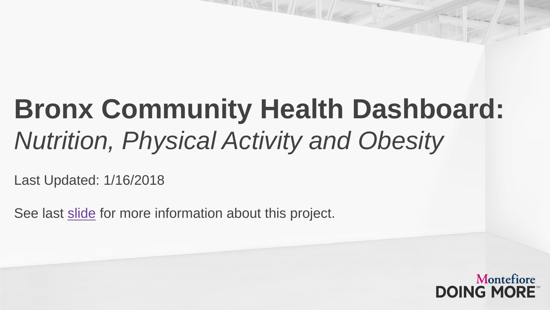### **Bronx Community Health Dashboard:**  *Nutrition, Physical Activity and Obesity*

Last Updated: 1/16/2018

See last [slide](#page-45-0) for more information about this project.

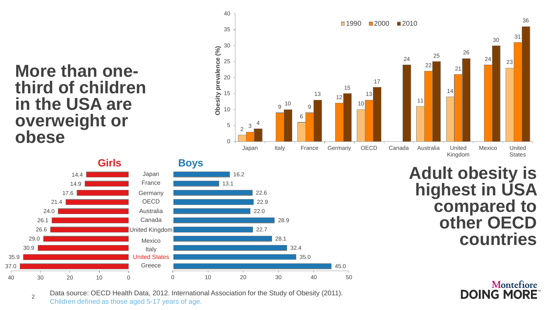### **More than one- third of children in the USA are overweight or obese**

2

30.9 29.0

26.6 26.1 24.0

21.4

17.6

40 30 20 10 0

14.9 14.4

37.0 35.9



Data source: OECD Health Data, 2012. International Association for the Study of Obesity (2011). Children defined as those aged 5-17 years of age.

0 10 20 30 40 50

Montefiore **DOING MORE**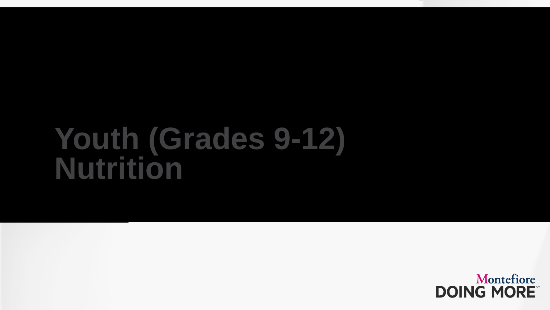### **Youth (Grades 9-12) Nutrition**

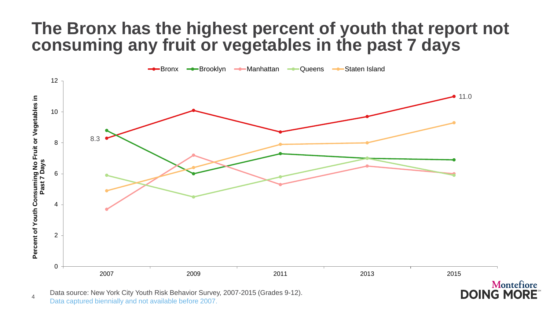### **The Bronx has the highest percent of youth that report not consuming any fruit or vegetables in the past 7 days**



**DOING MORE** 

Data source: New York City Youth Risk Behavior Survey, 2007-2015 (Grades 9-12). Data captured biennially and not available before 2007.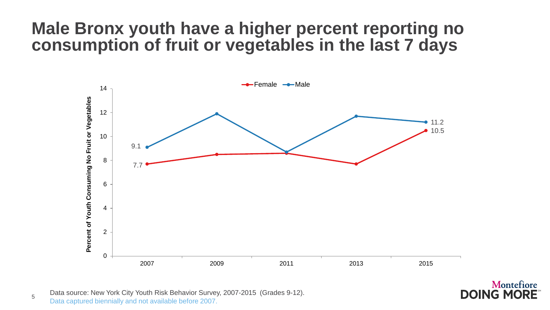### **Male Bronx youth have a higher percent reporting no consumption of fruit or vegetables in the last 7 days**



5 Data source: New York City Youth Risk Behavior Survey, 2007-2015 (Grades 9-12). Data captured biennially and not available before 2007.

Montefiore **DOING MORE**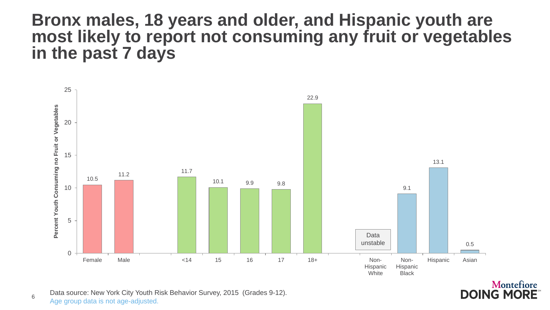### **Bronx males, 18 years and older, and Hispanic youth are most likely to report not consuming any fruit or vegetables in the past 7 days**



**DOING MORE** 

Data source: New York City Youth Risk Behavior Survey, 2015 (Grades 9-12). Age group data is not age-adjusted.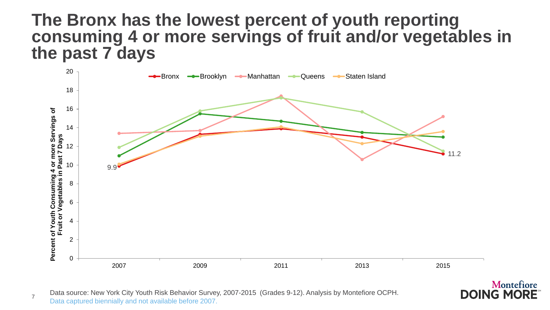### **The Bronx has the lowest percent of youth reporting consuming 4 or more servings of fruit and/or vegetables in the past 7 days**



Montefiore

**DOING MORE** 

Data source: New York City Youth Risk Behavior Survey, 2007-2015 (Grades 9-12). Analysis by Montefiore OCPH. Data captured biennially and not available before 2007.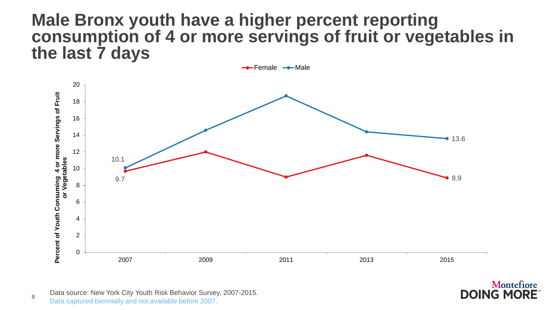### **Male Bronx youth have a higher percent reporting consumption of 4 or more servings of fruit or vegetables in the last 7 days**



Data source: New York City Youth Risk Behavior Survey, 2007-2015. Data captured biennially and not available before 2007.

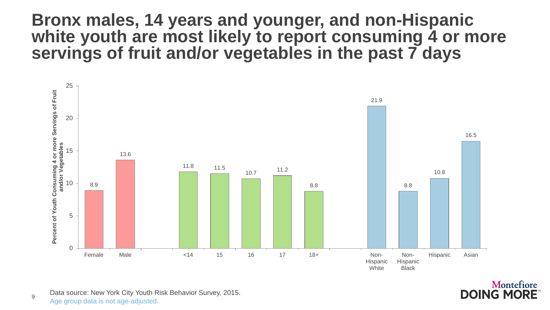### **Bronx males, 14 years and younger, and non-Hispanic white youth are most likely to report consuming 4 or more servings of fruit and/or vegetables in the past 7 days**



Montefiore **DOING MORE** 

9 Data source: New York City Youth Risk Behavior Survey, 2015. Age group data is not age-adjusted.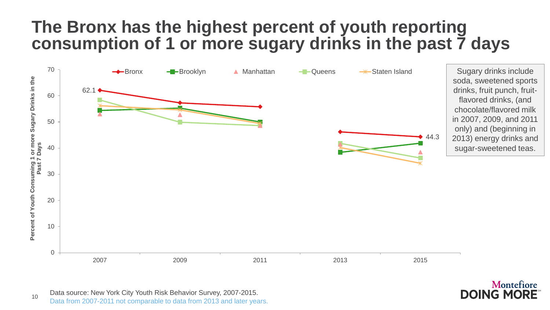### **The Bronx has the highest percent of youth reporting consumption of 1 or more sugary drinks in the past 7 days**



10 Data source: New York City Youth Risk Behavior Survey, 2007-2015. Data from 2007-2011 not comparable to data from 2013 and later years.

#### Montefiore **DOING MORE**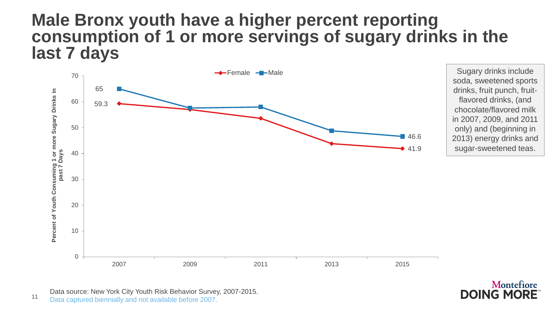### **Male Bronx youth have a higher percent reporting consumption of 1 or more servings of sugary drinks in the last 7 days**



Data source: New York City Youth Risk Behavior Survey, 2007-2015. Data captured biennially and not available before 2007.

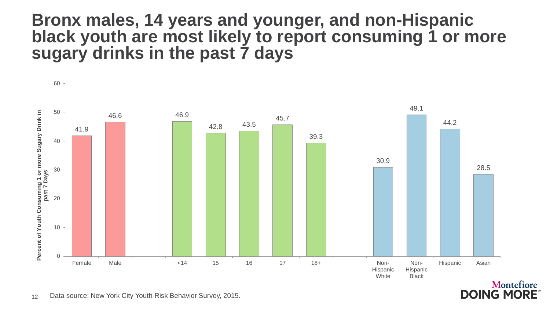### **Bronx males, 14 years and younger, and non-Hispanic black youth are most likely to report consuming 1 or more sugary drinks in the past 7 days**



Montefiore **DOING MORE**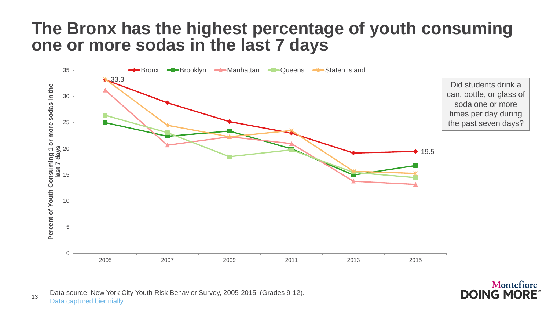### **The Bronx has the highest percentage of youth consuming one or more sodas in the last 7 days**



13 Data source: New York City Youth Risk Behavior Survey, 2005-2015 (Grades 9-12). Data captured biennially.

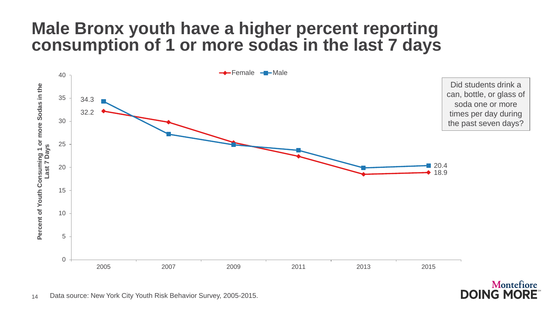### **Male Bronx youth have a higher percent reporting consumption of 1 or more sodas in the last 7 days**



**DOING MORE**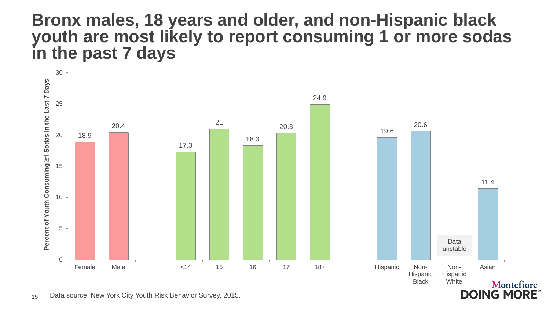### **Bronx males, 18 years and older, and non-Hispanic black youth are most likely to report consuming 1 or more sodas in the past 7 days**

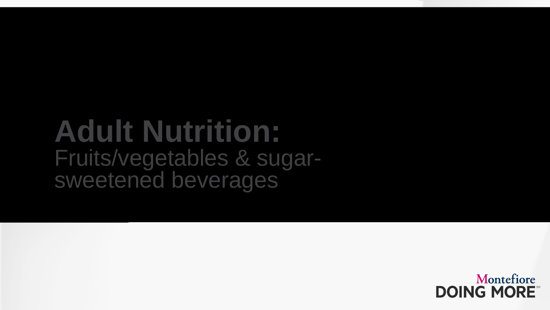# **Adult Nutrition:**  Fruits/vegetables & sugar-<br>sweetened beverages

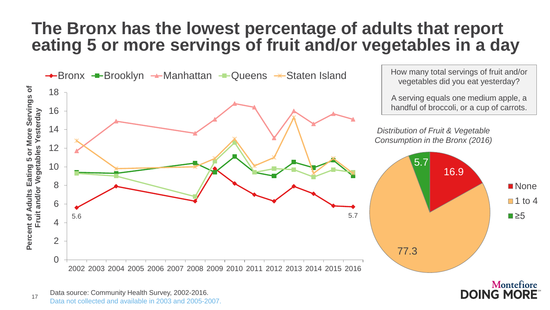### **The Bronx has the lowest percentage of adults that report eating 5 or more servings of fruit and/or vegetables in a day**



Montefiore **DOING MORE** 

17 Data source: Community Health Survey, 2002-2016. Data not collected and available in 2003 and 2005-2007.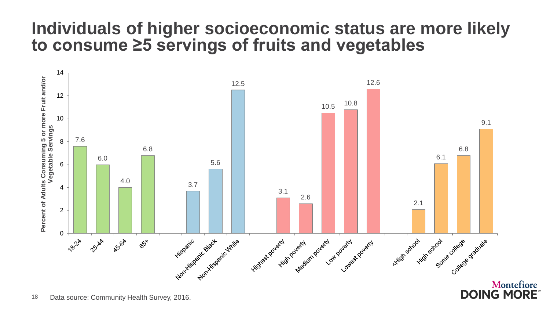### **Individuals of higher socioeconomic status are more likely to consume ≥5 servings of fruits and vegetables**



18 Data source: Community Health Survey, 2016.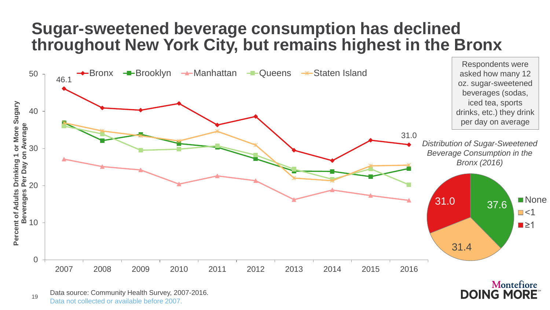### **Sugar-sweetened beverage consumption has declined throughout New York City, but remains highest in the Bronx**



19 Data source: Community Health Survey, 2007-2016. Data not collected or available before 2007.

Montefiore **DOING MORE**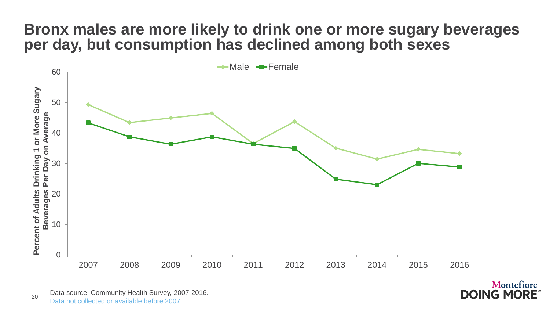#### **Bronx males are more likely to drink one or more sugary beverages per day, but consumption has declined among both sexes**



Montefiore

**DOING MORE** 

20 Data source: Community Health Survey, 2007-2016. Data not collected or available before 2007.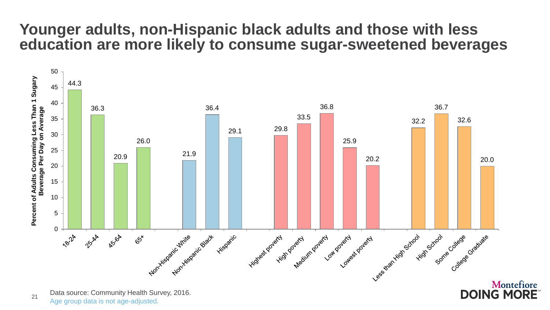#### **Younger adults, non-Hispanic black adults and those with less education are more likely to consume sugar-sweetened beverages**



21 Data source: Community Health Survey, 2016. Age group data is not age-adjusted.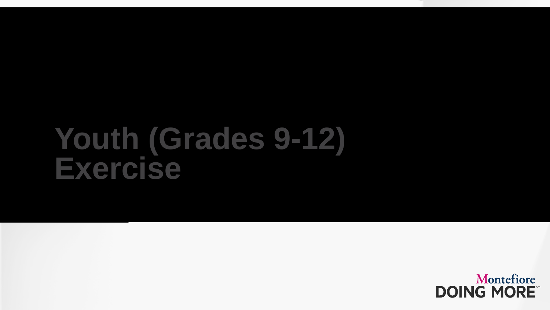### **Youth (Grades 9-12) Exercise**

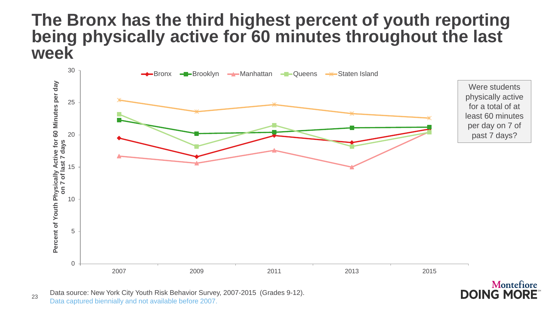### **The Bronx has the third highest percent of youth reporting being physically active for 60 minutes throughout the last week**



**DOING MORE** 

23 Data source: New York City Youth Risk Behavior Survey, 2007-2015 (Grades 9-12). Data captured biennially and not available before 2007.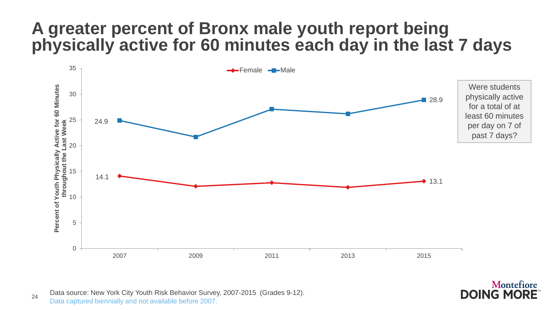### **A greater percent of Bronx male youth report being physically active for 60 minutes each day in the last 7 days**



Montefiore

**DOING MORE** 

24 Data source: New York City Youth Risk Behavior Survey, 2007-2015 (Grades 9-12). Data captured biennially and not available before 2007.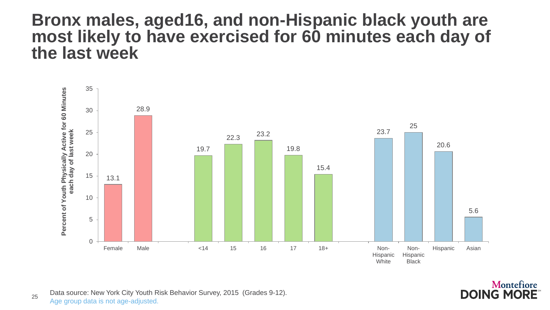#### **Bronx males, aged16, and non-Hispanic black youth are most likely to have exercised for 60 minutes each day of the last week**





25 Data source: New York City Youth Risk Behavior Survey, 2015 (Grades 9-12). Age group data is not age-adjusted.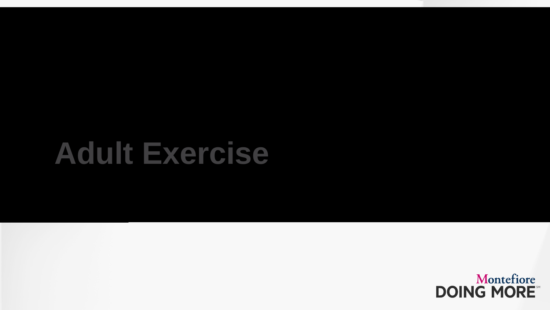## **Adult Exercise**

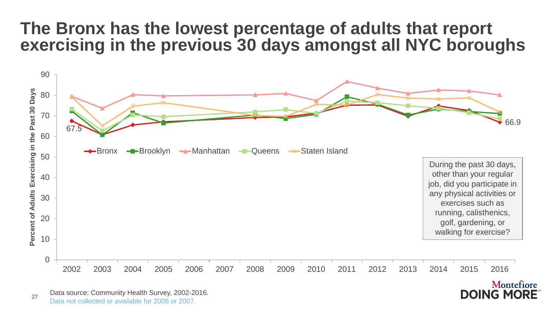### **The Bronx has the lowest percentage of adults that report exercising in the previous 30 days amongst all NYC boroughs**



**DOING MORE** 

27 Data source: Community Health Survey, 2002-2016. Data not collected or available for 2006 or 2007.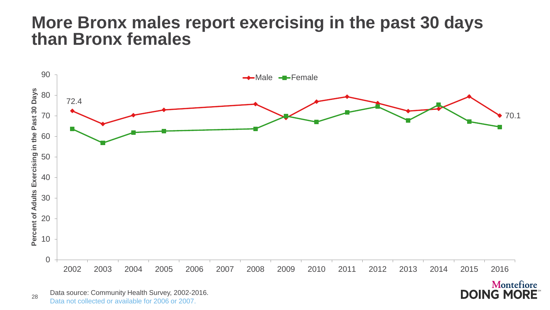### **More Bronx males report exercising in the past 30 days than Bronx females**



Montefiore **DOING MORE**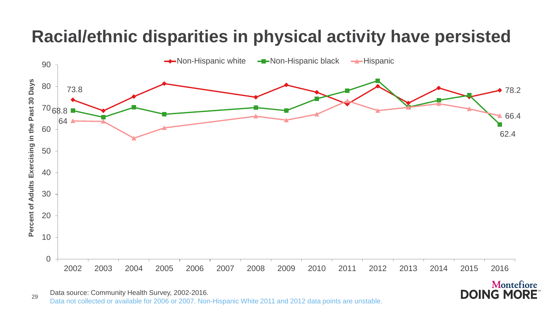### **Racial/ethnic disparities in physical activity have persisted**

![](_page_28_Figure_1.jpeg)

**DOING MORE** 

 Data source: Community Health Survey, 2002-2016. Data not collected or available for 2006 or 2007. Non-Hispanic White 2011 and 2012 data points are unstable.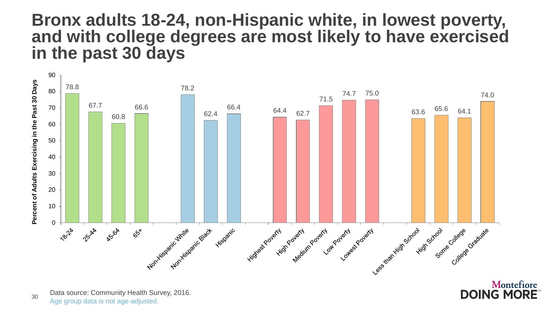### **Bronx adults 18-24, non-Hispanic white, in lowest poverty, and with college degrees are most likely to have exercised in the past 30 days**

![](_page_29_Figure_1.jpeg)

![](_page_29_Picture_2.jpeg)

Data source: Community Health Survey, 2016. Age group data is not age-adjusted.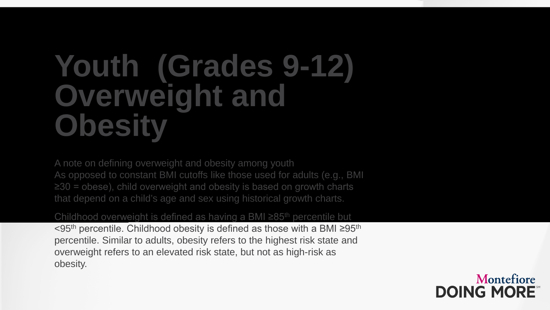## **Youth (Grades 9-12) Overweight and Obesity**

A note on defining overweight and obesity among youth As opposed to constant BMI cutoffs like those used for adults (e.g., BMI ≥30 = obese), child overweight and obesity is based on growth charts that depend on a child's age and sex using historical growth charts.

#### Childhood overweight is defined as having a BMI ≥85<sup>th</sup> percentile but

<95th percentile. Childhood obesity is defined as those with a BMI ≥95th percentile. Similar to adults, obesity refers to the highest risk state and overweight refers to an elevated risk state, but not as high-risk as obesity.

![](_page_30_Picture_4.jpeg)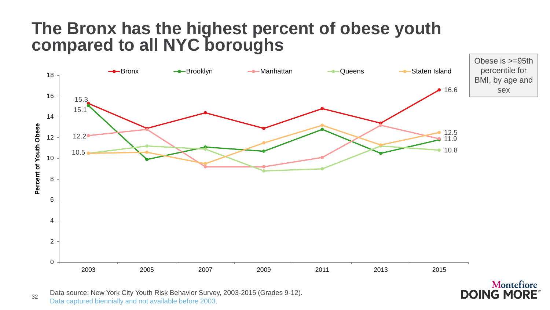### **The Bronx has the highest percent of obese youth compared to all NYC boroughs**

![](_page_31_Figure_1.jpeg)

**DOING MORE** 

32 Data source: New York City Youth Risk Behavior Survey, 2003-2015 (Grades 9-12). Data captured biennially and not available before 2003.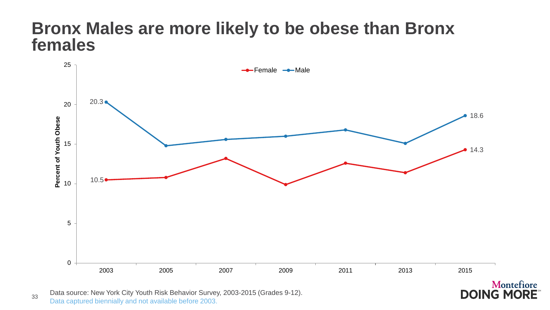### **Bronx Males are more likely to be obese than Bronx females**

![](_page_32_Figure_1.jpeg)

33 Data source: New York City Youth Risk Behavior Survey, 2003-2015 (Grades 9-12). Data captured biennially and not available before 2003.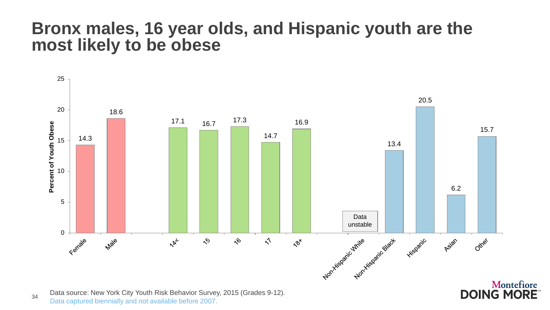### **Bronx males, 16 year olds, and Hispanic youth are the most likely to be obese**

![](_page_33_Figure_1.jpeg)

34 Data source: New York City Youth Risk Behavior Survey, 2015 (Grades 9-12). Data captured biennially and not available before 2007.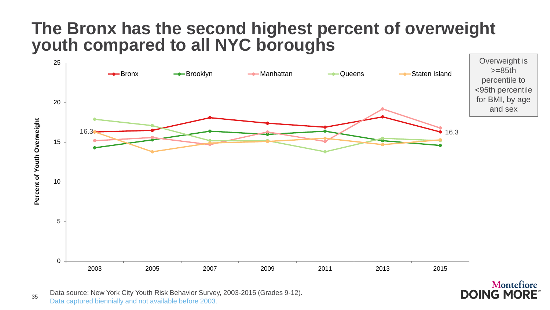### **The Bronx has the second highest percent of overweight youth compared to all NYC boroughs**

![](_page_34_Figure_1.jpeg)

**DOING MORE** 

35 Data source: New York City Youth Risk Behavior Survey, 2003-2015 (Grades 9-12). Data captured biennially and not available before 2003.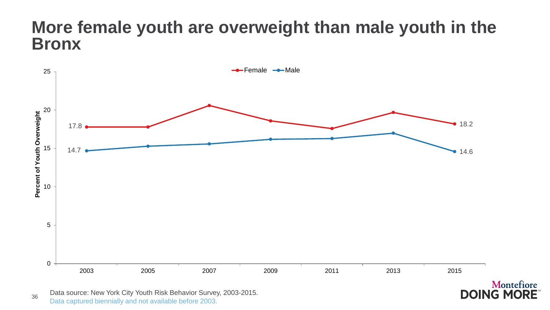### **More female youth are overweight than male youth in the Bronx**

![](_page_35_Figure_1.jpeg)

Montefiore

36 Data source: New York City Youth Risk Behavior Survey, 2003-2015. Data captured biennially and not available before 2003.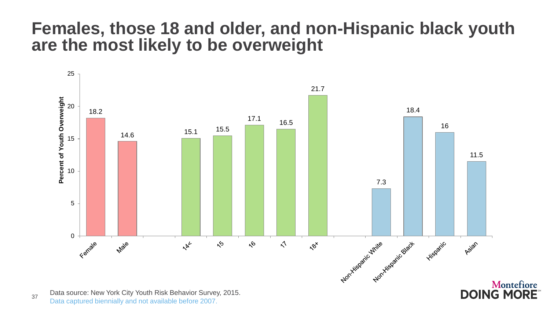### **Females, those 18 and older, and non-Hispanic black youth are the most likely to be overweight**

![](_page_36_Figure_1.jpeg)

37 Data source: New York City Youth Risk Behavior Survey, 2015. Data captured biennially and not available before 2007.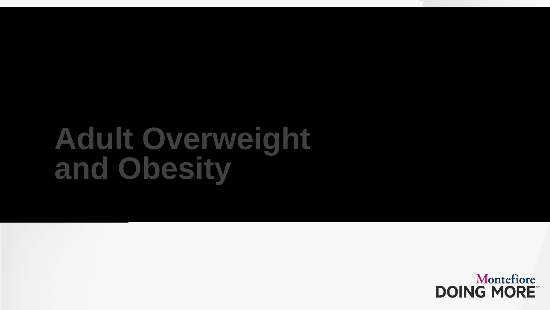## **Adult Overweight and Obesity**

![](_page_37_Picture_1.jpeg)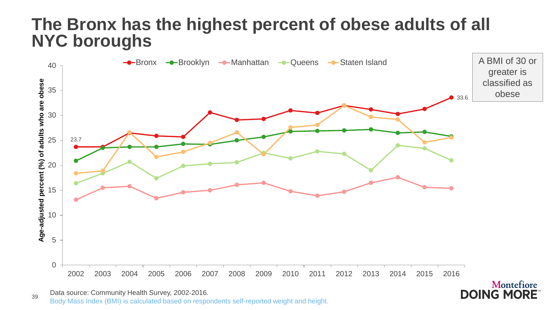### **The Bronx has the highest percent of obese adults of all NYC boroughs**

![](_page_38_Figure_1.jpeg)

**DOING MORE** 

<sup>39</sup> Data source: Community Health Survey, 2002-2016. Body Mass Index (BMI) is calculated based on respondents self-reported weight and height.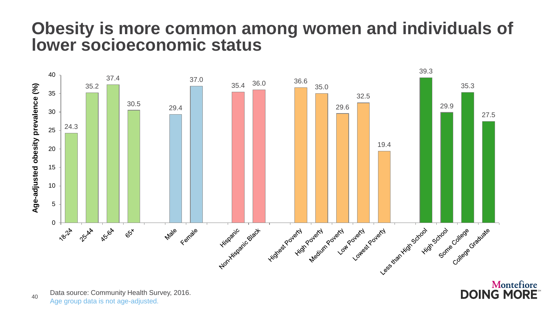### **Obesity is more common among women and individuals of lower socioeconomic status**

![](_page_39_Figure_1.jpeg)

Montefiore **DOING MORE** 

40 Data source: Community Health Survey, 2016. Age group data is not age-adjusted.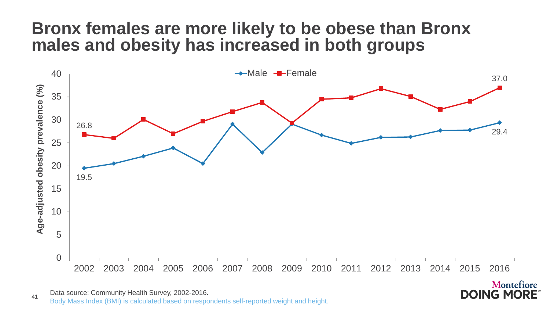### **Bronx females are more likely to be obese than Bronx males and obesity has increased in both groups**

![](_page_40_Figure_1.jpeg)

**DOING MORE** 

41 Data source: Community Health Survey, 2002-2016. Body Mass Index (BMI) is calculated based on respondents self-reported weight and height.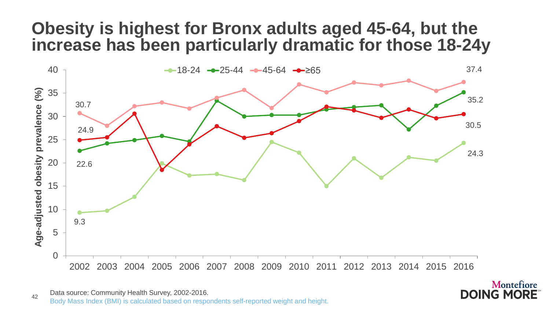### **Obesity is highest for Bronx adults aged 45-64, but the increase has been particularly dramatic for those 18-24y**

![](_page_41_Figure_1.jpeg)

42 Data source: Community Health Survey, 2002-2016. Body Mass Index (BMI) is calculated based on respondents self-reported weight and height.

![](_page_41_Picture_3.jpeg)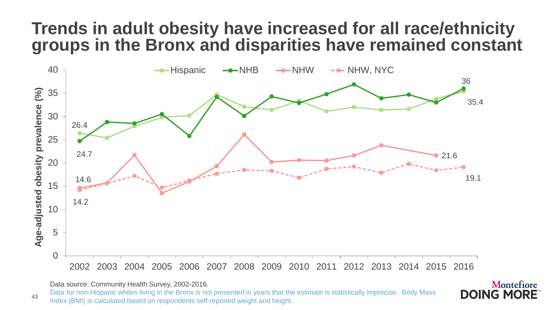### **Trends in adult obesity have increased for all race/ethnicity groups in the Bronx and disparities have remained constant**

![](_page_42_Figure_1.jpeg)

Data source: Community Health Survey, 2002-2016.

Data for non-Hispanic whites living in the Bronx is not presented in years that the estimate is statistically imprecise. Body Mass Index (BMI) is calculated based on respondents self-reported weight and height.

![](_page_42_Picture_4.jpeg)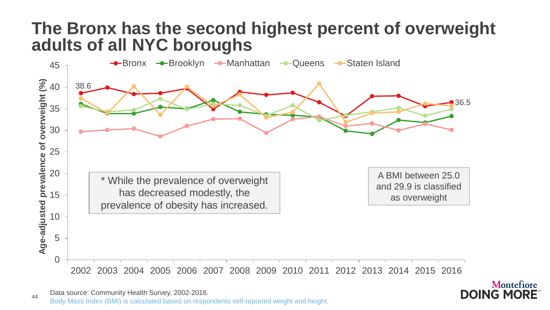### **The Bronx has the second highest percent of overweight adults of all NYC boroughs**

![](_page_43_Figure_1.jpeg)

![](_page_43_Picture_3.jpeg)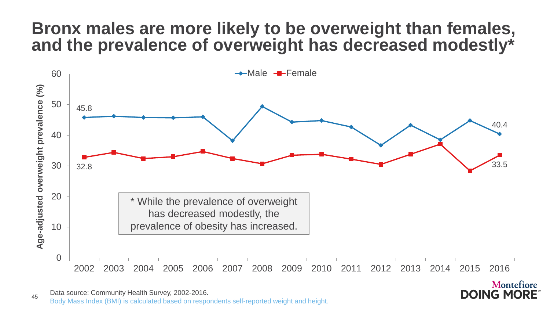### **Bronx males are more likely to be overweight than females, and the prevalence of overweight has decreased modestly\***

![](_page_44_Figure_1.jpeg)

**DOING MORE** 

45 Data source: Community Health Survey, 2002-2016. Body Mass Index (BMI) is calculated based on respondents self-reported weight and height.